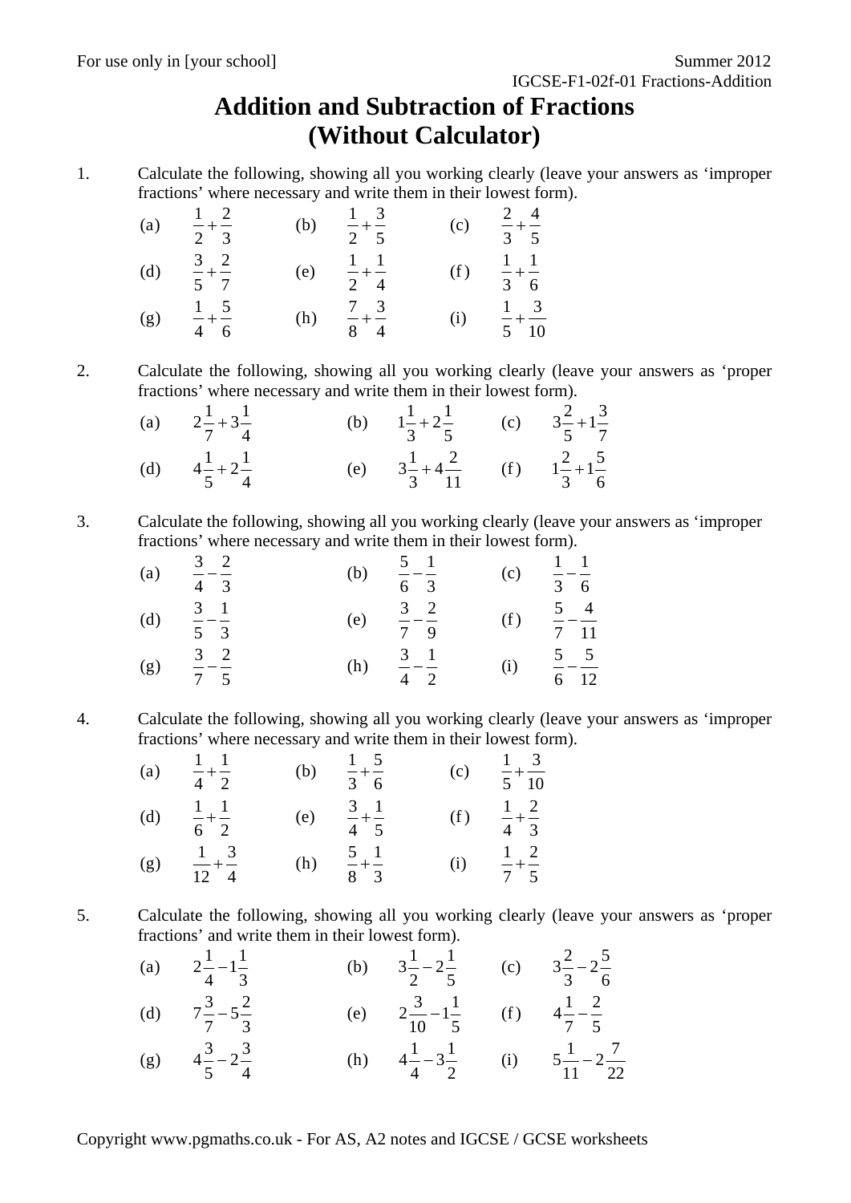## **Addition and Subtraction of Fractions (Without Calculator)**

1. Calculate the following, showing all you working clearly (leave your answers as 'improper fractions' where necessary and write them in their lowest form).

| (a) | $rac{1}{2} + \frac{2}{3}$                     | (b) | $\frac{1}{2} + \frac{3}{5}$                | (c) | $rac{2}{3} + \frac{4}{5}$                   |
|-----|-----------------------------------------------|-----|--------------------------------------------|-----|---------------------------------------------|
| (d) | 3 <sup>2</sup><br>$\frac{1}{5} + \frac{1}{7}$ | (e) | $1 \quad 1$<br>$\frac{1}{2} + \frac{1}{4}$ | (f) | $1 \quad 1$<br>$\frac{1}{3} + \frac{1}{6}$  |
| (g) | $1 \quad 5$<br>$- + -$<br>$4\quad 6$          | (h) | $\frac{7}{8} + \frac{3}{4}$                | (i) | $1 \quad 3$<br>$\frac{1}{5} + \frac{1}{10}$ |

2. Calculate the following, showing all you working clearly (leave your answers as 'proper fractions' where necessary and write them in their lowest form).

| (a) $2\frac{1}{7} + 3\frac{1}{4}$ | (b) $1\frac{1}{3} + 2\frac{1}{5}$ (c) $3\frac{2}{5} + 1\frac{3}{7}$  |  |
|-----------------------------------|----------------------------------------------------------------------|--|
| (d) $4\frac{1}{5} + 2\frac{1}{4}$ | (e) $3\frac{1}{3} + 4\frac{2}{11}$ (f) $1\frac{2}{3} + 1\frac{5}{6}$ |  |

3. Calculate the following, showing all you working clearly (leave your answers as 'improper fractions' where necessary and write them in their lowest form).

| (a) | $\frac{3}{2}$ $\frac{2}{2}$<br>$4 \quad 3$ | (b) | $\frac{5}{-}$ $\frac{1}{-}$<br>6 <sup>3</sup> | (c) | $1 \quad 1$<br>$\frac{1}{3} - \frac{1}{6}$ |
|-----|--------------------------------------------|-----|-----------------------------------------------|-----|--------------------------------------------|
| (d) | $\frac{3}{5} - \frac{1}{3}$                | (e) | 3 <sup>2</sup><br>$\frac{2}{7} - \frac{1}{9}$ | (f) | $rac{5}{7} - \frac{4}{11}$                 |
| (g) | $rac{3}{7} - \frac{2}{5}$                  | (h) | $\frac{3}{4} - \frac{1}{2}$                   | (i) | $\frac{5}{6} - \frac{5}{12}$               |

4. Calculate the following, showing all you working clearly (leave your answers as 'improper fractions' where necessary and write them in their lowest form).

| (a) | $1 \quad 1$<br>$- + -$<br>$4\quad 2$      | (b) | $1\quad 5$<br>$\frac{1}{3} + \frac{1}{6}$ | (c) | $1 \quad 3$<br>$- + -$<br>5 10            |
|-----|-------------------------------------------|-----|-------------------------------------------|-----|-------------------------------------------|
| (d) | $1 \quad 1$<br>$-+ -$<br>$6\quad 2$       | (e) | $\frac{3}{4} + \frac{1}{4}$<br>$4\quad 5$ | (f) | $1\quad 2$<br>$\frac{1}{4} + \frac{1}{3}$ |
| (g) | $1 \quad 3$<br>$rac{1}{12} + \frac{5}{4}$ | (h) | $rac{5}{8} + \frac{1}{3}$                 | (i) | $1\quad 2$<br>$\frac{1}{7} + \frac{1}{5}$ |

5. Calculate the following, showing all you working clearly (leave your answers as 'proper fractions' and write them in their lowest form).

| (a) $2\frac{1}{4} - 1\frac{1}{3}$ | (b) $3\frac{1}{2} - 2\frac{1}{5}$ (c) $3\frac{2}{3} - 2\frac{5}{6}$   |  |
|-----------------------------------|-----------------------------------------------------------------------|--|
| (d) $7\frac{3}{7} - 5\frac{2}{3}$ | (e) $2\frac{3}{10} - 1\frac{1}{5}$ (f) $4\frac{1}{7} - \frac{2}{5}$   |  |
| (g) $4\frac{3}{5} - 2\frac{3}{4}$ | (h) $4\frac{1}{4} - 3\frac{1}{2}$ (i) $5\frac{1}{11} - 2\frac{7}{22}$ |  |

Copyright www.pgmaths.co.uk - For AS, A2 notes and IGCSE / GCSE worksheets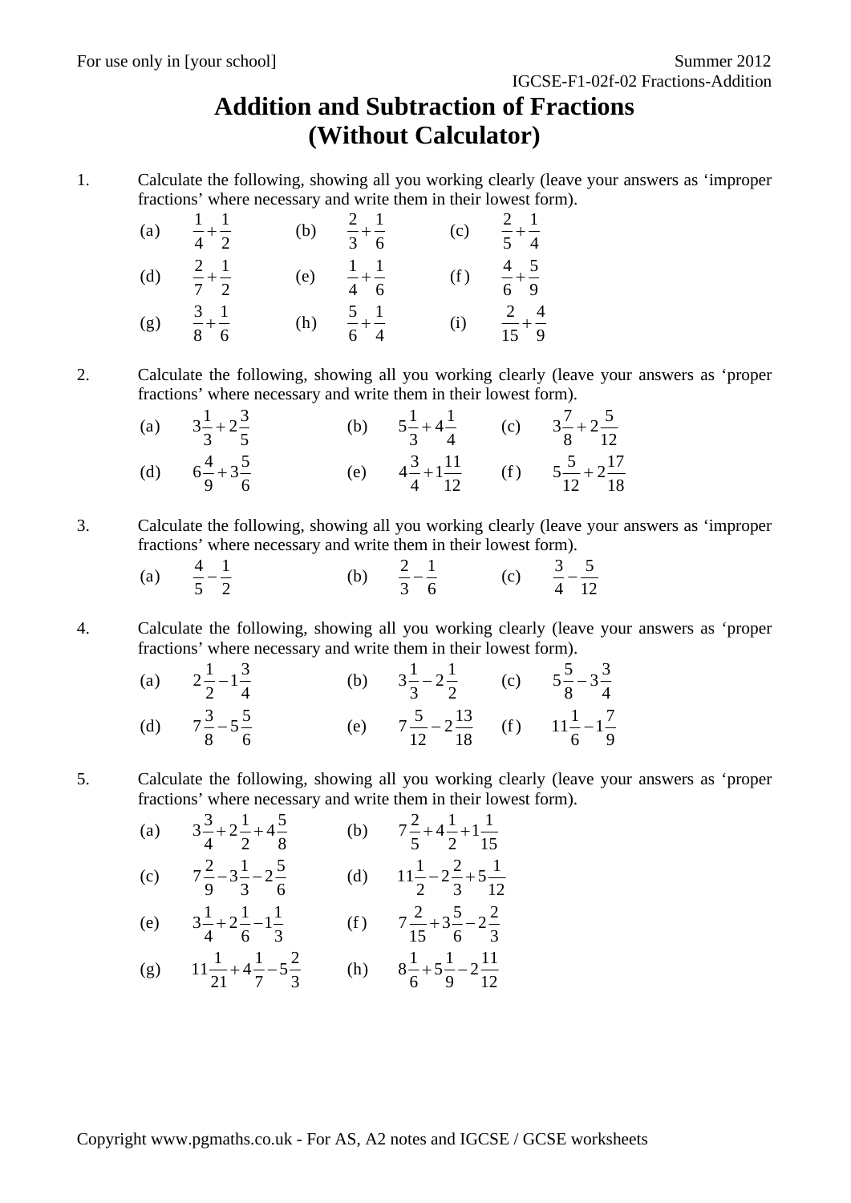## **Addition and Subtraction of Fractions (Without Calculator)**

1. Calculate the following, showing all you working clearly (leave your answers as 'improper fractions' where necessary and write them in their lowest form).

| (a) | $1 \quad 1$<br>$-+ -$<br>$4\overline{2}$   | (b) | $rac{2}{3} + \frac{1}{6}$                    | (c) | $rac{2}{5} + \frac{1}{4}$   |
|-----|--------------------------------------------|-----|----------------------------------------------|-----|-----------------------------|
| (d) | $2 \quad 1$<br>$\frac{1}{7} + \frac{1}{2}$ | (e) | $1 \quad 1$<br>$\frac{-}{4}$ + $\frac{-}{6}$ | (f) | $\frac{4}{6} + \frac{5}{9}$ |
| (g) | 3 <sub>1</sub><br>$-+-$<br>8 6             | (h) | $\frac{5}{-} + \frac{1}{-}$<br>6 4           | (i) | $rac{2}{15} + \frac{4}{9}$  |

2. Calculate the following, showing all you working clearly (leave your answers as 'proper fractions' where necessary and write them in their lowest form).

| (a) $3\frac{1}{3} + 2\frac{3}{5}$ | (b) $5\frac{1}{3} + 4\frac{1}{4}$ (c) $3\frac{7}{8} + 2\frac{5}{12}$ |                                                                      |
|-----------------------------------|----------------------------------------------------------------------|----------------------------------------------------------------------|
| (d) $6\frac{4}{9}+3\frac{5}{6}$   |                                                                      | (e) $4\frac{3}{4}+1\frac{11}{12}$ (f) $5\frac{5}{12}+2\frac{17}{18}$ |

3. Calculate the following, showing all you working clearly (leave your answers as 'improper fractions' where necessary and write them in their lowest form).

|   |                               | ь | —            |  |           |
|---|-------------------------------|---|--------------|--|-----------|
| u | $\overline{\phantom{0}}$<br>_ | Ē | ⌒<br>-<br>۰. |  | --<br>$-$ |

4. Calculate the following, showing all you working clearly (leave your answers as 'proper fractions' where necessary and write them in their lowest form).

| (a) $2\frac{1}{2}-1\frac{3}{4}$   | (b) $3\frac{1}{3} - 2\frac{1}{2}$ (c) $5\frac{5}{8} - 3\frac{3}{4}$     |  |
|-----------------------------------|-------------------------------------------------------------------------|--|
| (d) $7\frac{3}{8} - 5\frac{5}{6}$ | (e) $7\frac{5}{12} - 2\frac{13}{18}$ (f) $11\frac{1}{6} - 1\frac{7}{9}$ |  |

5. Calculate the following, showing all you working clearly (leave your answers as 'proper fractions' where necessary and write them in their lowest form).

(a) 
$$
3\frac{3}{4} + 2\frac{1}{2} + 4\frac{5}{8}
$$
 (b)  $7\frac{2}{5} + 4\frac{1}{2} + 1\frac{1}{15}$   
\n(c)  $7\frac{2}{9} - 3\frac{1}{3} - 2\frac{5}{6}$  (d)  $11\frac{1}{2} - 2\frac{2}{3} + 5\frac{1}{12}$   
\n(e)  $3\frac{1}{4} + 2\frac{1}{6} - 1\frac{1}{3}$  (f)  $7\frac{2}{15} + 3\frac{5}{6} - 2\frac{2}{3}$ 

(g) 
$$
11\frac{1}{21} + 4\frac{1}{7} - 5\frac{2}{3}
$$
 (h)  $8\frac{1}{6} + 5\frac{1}{9} - 2\frac{11}{12}$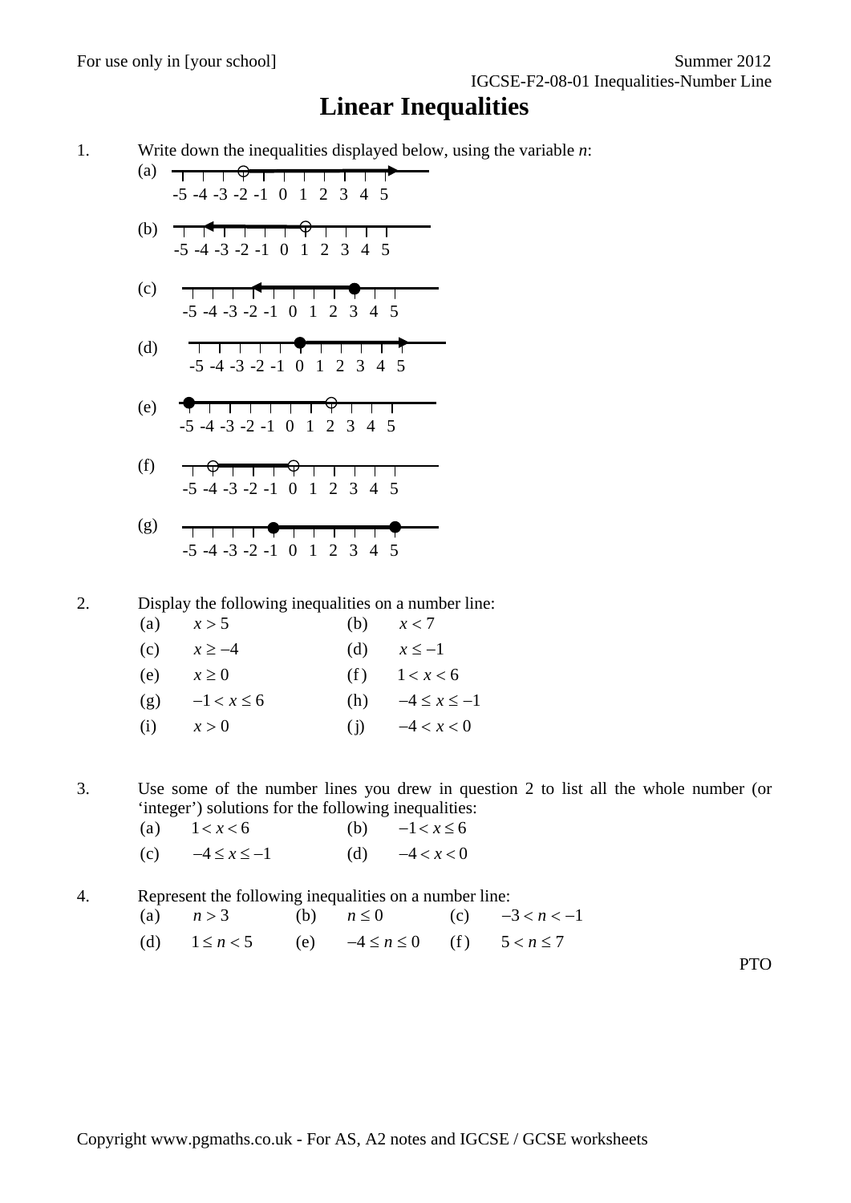## **Linear Inequalities**

1. Write down the inequalities displayed below, using the variable *n*:

- (a)  $T$   $T$   $T$   $\varphi$   $T$   $T$   $T$   $T$   $T$   $T$   $T$ -5 -4 -3 -2 -1 0 1 2 3 4 5
- (b) -5 -4 -3 -2 -1 0 1 2 3 4 5
- (c) \_\_\_\_<del>\_\_\_\_\_</del> ┯ -5 -4 -3 -2 -1 0 1 2 3 4 5
- <del>, , , , , , **0** , , , , , 1</del> (d) -5 -4 -3 -2 -1 0 1 2 3 4 5
- <del>9 1 1 1 1 1 1 9 1 1 1 1</del> (e) -5 -4 -3 -2 -1 0 1 2 3 4 5
- $\begin{picture}(180,10) \put(0,0){\vector(1,0){100}} \put(10,0){\vector(1,0){100}} \put(10,0){\vector(1,0){100}} \put(10,0){\vector(1,0){100}} \put(10,0){\vector(1,0){100}} \put(10,0){\vector(1,0){100}} \put(10,0){\vector(1,0){100}} \put(10,0){\vector(1,0){100}} \put(10,0){\vector(1,0){100}} \put(10,0){\vector(1,0){100}} \put(10,0){\vector(1,0){100}}$ (f) -5 -4 -3 -2 -1 0 1 2 3 4 5
- (g) <del>,,,,,,**0,**,,,,,,</del> -5 -4 -3 -2 -1 0 1 2 3 4 5

2. Display the following inequalities on a number line:

| $\left( a\right)$ | x > 5          | (b) | x < 7               |
|-------------------|----------------|-----|---------------------|
| (c)               | $x \ge -4$     | (d) | $x \leq -1$         |
| (e)               | $x \geq 0$     | (f) | 1 < x < 6           |
| (g)               | $-1 < x \le 6$ | (h) | $-4 \leq x \leq -1$ |
| (i)               | x > 0          | (i) | $-4 < x < 0$        |

3. Use some of the number lines you drew in question 2 to list all the whole number (or 'integer') solutions for the following inequalities:

(a)  $1 < x < 6$  (b)  $-1 < x \le 6$ (c)  $-4 \le x \le -1$  (d)  $-4 < x < 0$ 

4. Represent the following inequalities on a number line: (a)  $n > 3$  (b)  $n \le 0$  (c)  $-3 < n < -1$ 

(d)  $1 \le n < 5$  (e)  $-4 \le n \le 0$  (f)  $5 < n \le 7$ 

PTO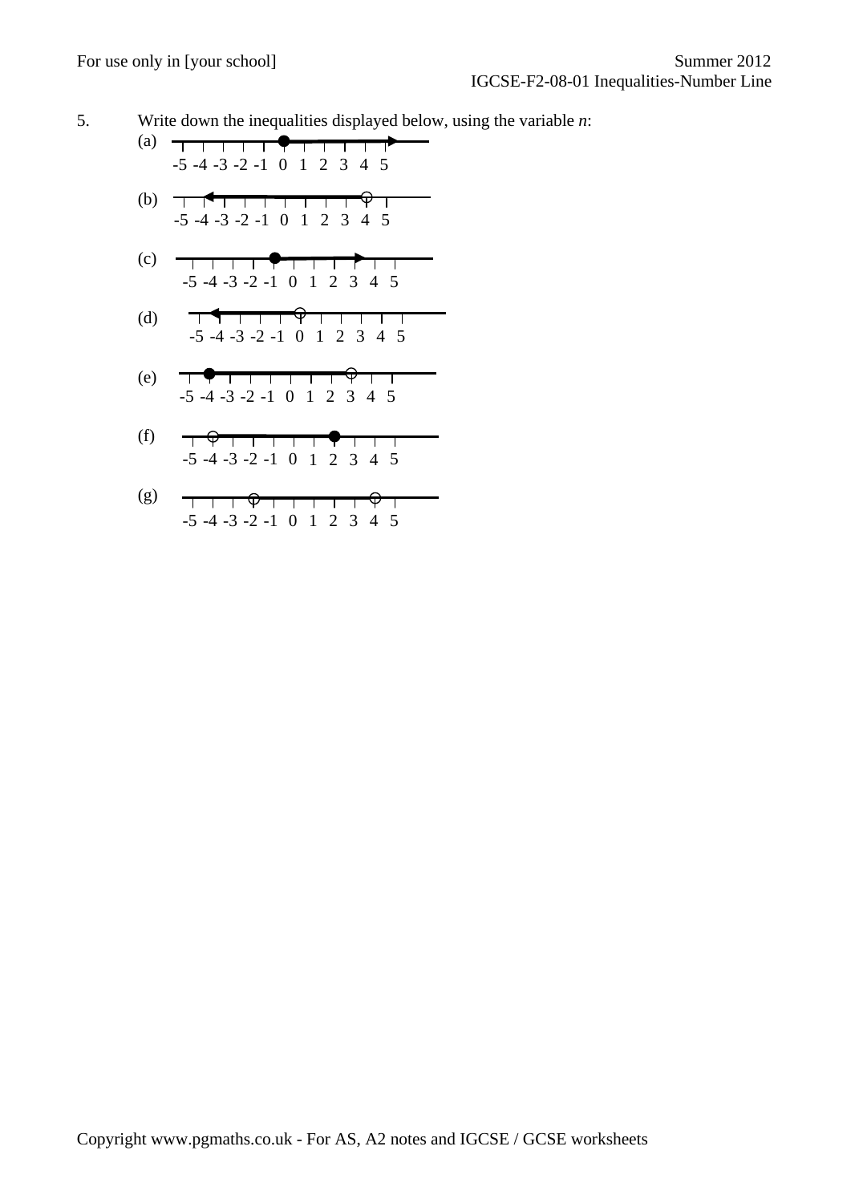5. Write down the inequalities displayed below, using the variable *n*:

(a) -5 -4 -3 -2 -1 0 1 2 3 4 5 (b) -5 -4 -3 -2 -1 0 1 2 3 4 5

- $(c)$  -5 -4 -3 -2 -1 0 1 2 3 4 5  $\top$
- <del>, 4 , , , , 0</del> , , , , , , (d) -5 -4 -3 -2 -1 0 1 2 3 4 5
- $\begin{array}{c} \begin{array}{c} \uparrow \end{array} \end{array}$ (e) -5 -4 -3 -2 -1 0 1 2 3 4 5
- (f) -5 -4 -3 -2 -1 0 1 2 3 4 5
- (g)  $\begin{array}{c} \uparrow \\ \uparrow \end{array} \begin{array}{c} \uparrow \\ \downarrow \\ \downarrow \end{array} \begin{array}{c} \downarrow \\ \downarrow \\ \downarrow \end{array} \begin{array}{c} \downarrow \\ \downarrow \\ \downarrow \end{array} \begin{array}{c} \downarrow \\ \downarrow \\ \downarrow \end{array} \begin{array}{c} \downarrow \\ \downarrow \\ \downarrow \end{array} \begin{array}{c} \downarrow \\ \downarrow \\ \downarrow \end{array}$ -5 -4 -3 -2 -1 0 1 2 3 4 5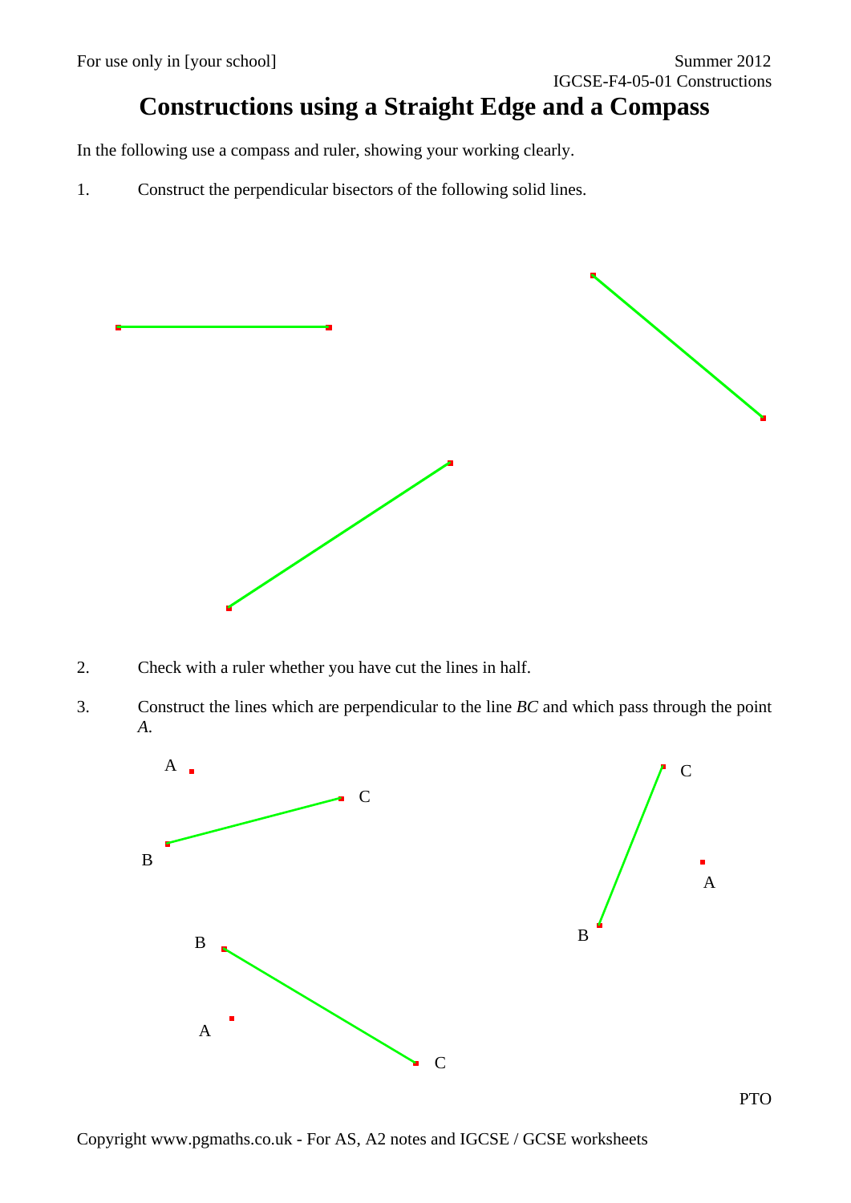## **Constructions using a Straight Edge and a Compass**

In the following use a compass and ruler, showing your working clearly.

1. Construct the perpendicular bisectors of the following solid lines.



- 2. Check with a ruler whether you have cut the lines in half.
- 3. Construct the lines which are perpendicular to the line *BC* and which pass through the point *A*.

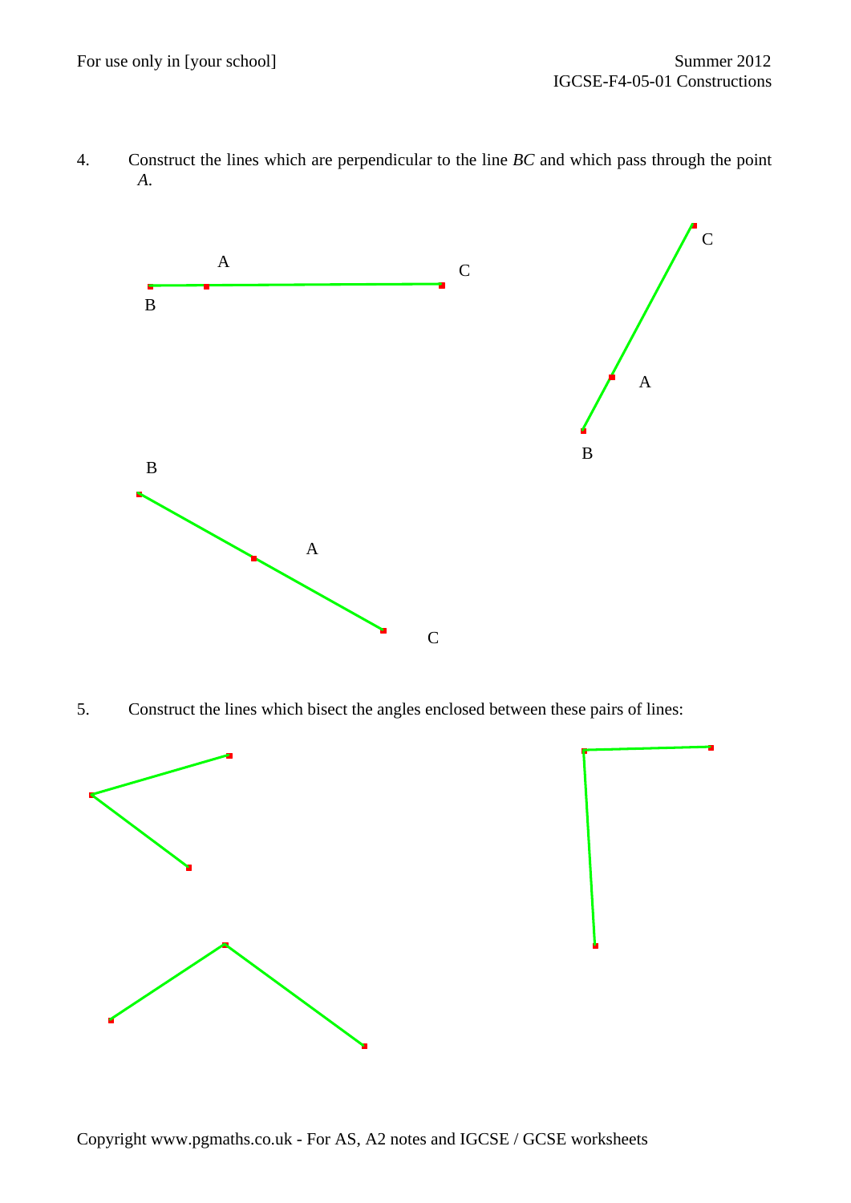4. Construct the lines which are perpendicular to the line *BC* and which pass through the point *A*.



5. Construct the lines which bisect the angles enclosed between these pairs of lines:

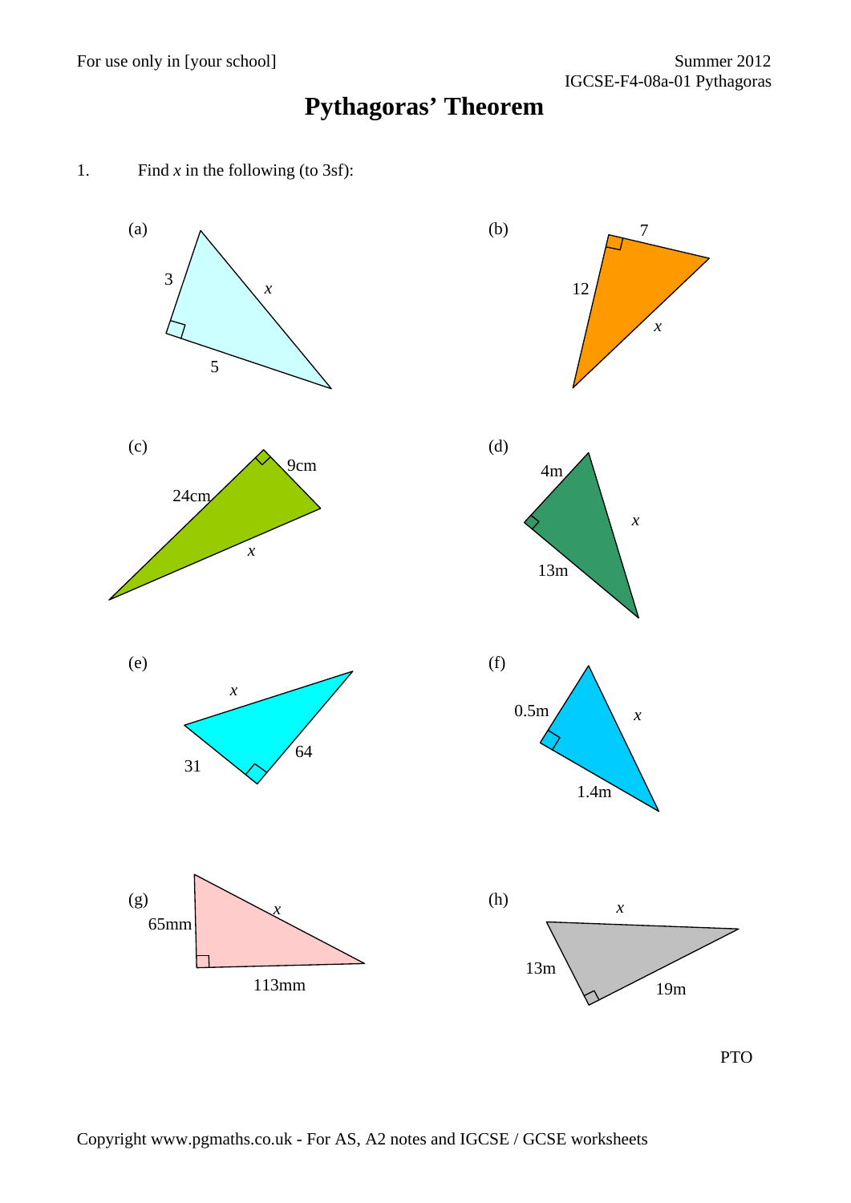# **Pythagoras' Theorem**

1. Find *x* in the following (to 3sf):

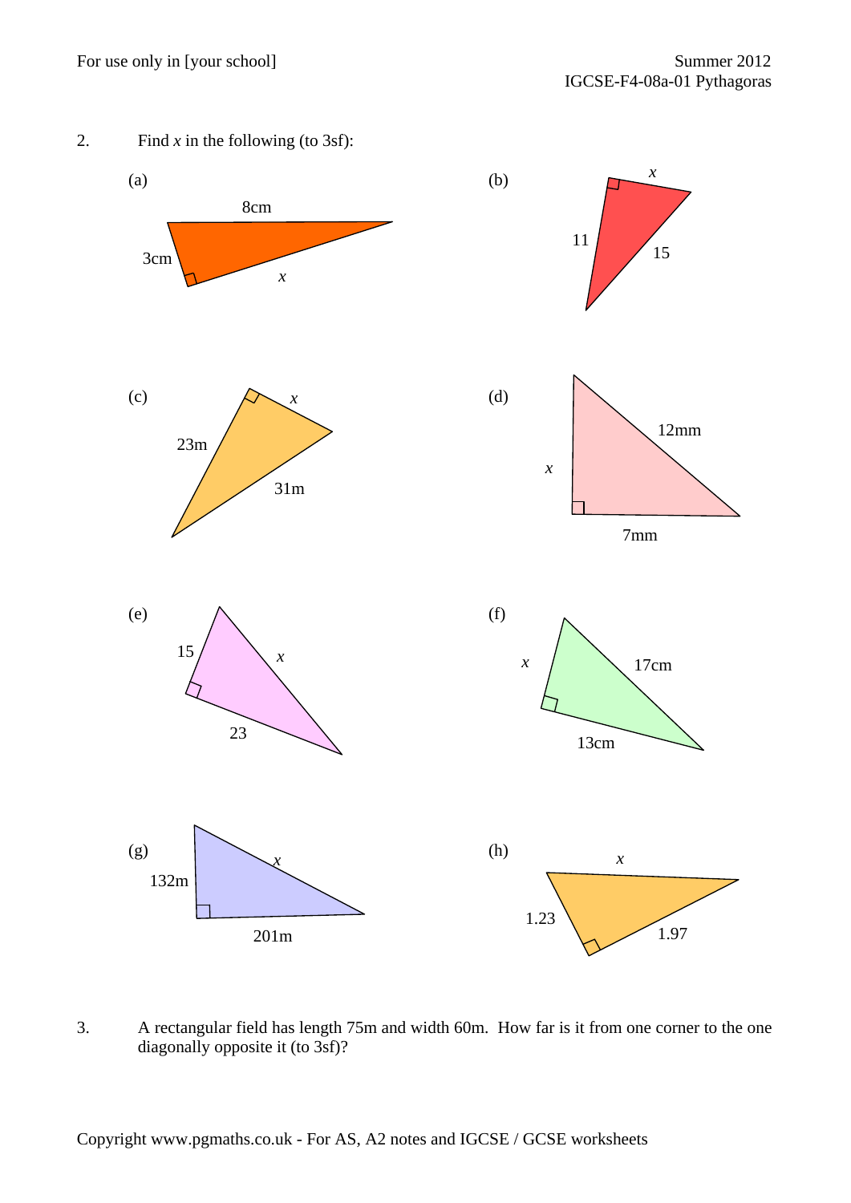



3. A rectangular field has length 75m and width 60m. How far is it from one corner to the one diagonally opposite it (to 3sf)?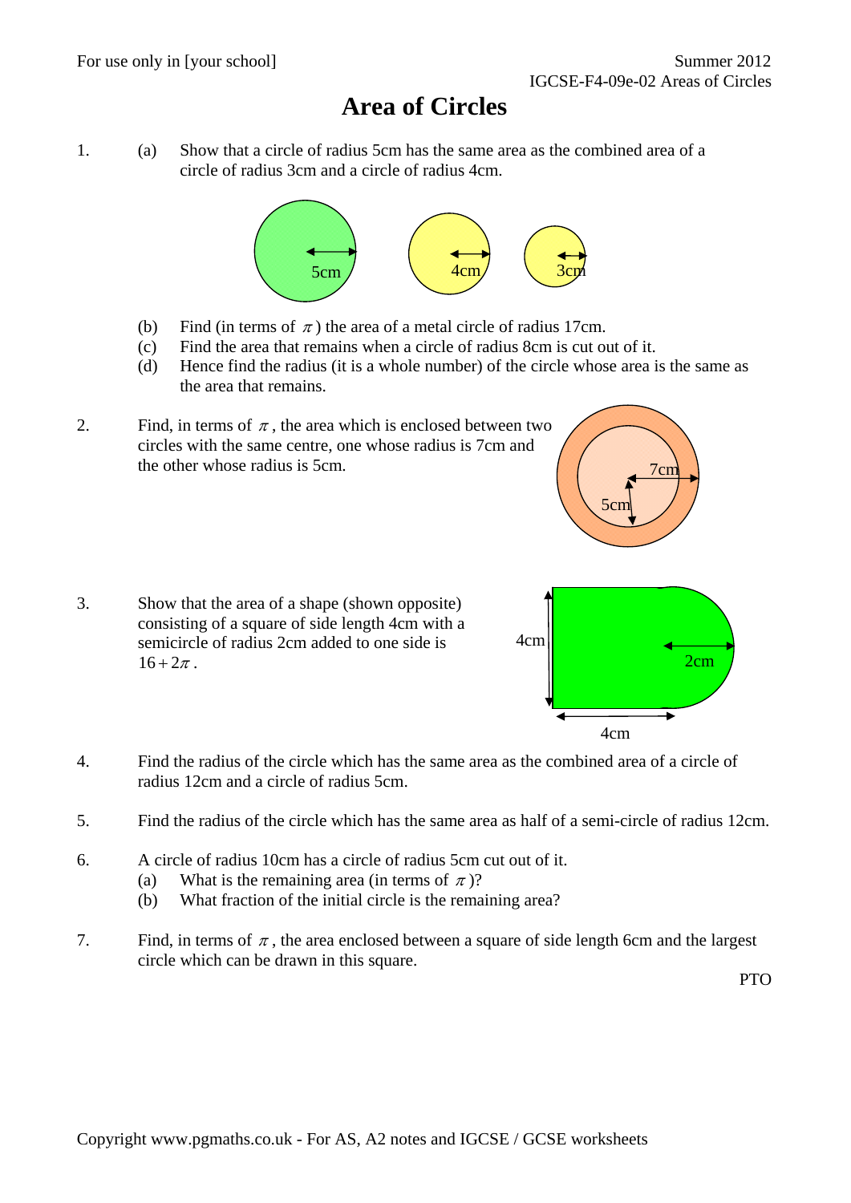#### **Area of Circles**

1. (a) Show that a circle of radius 5cm has the same area as the combined area of a circle of radius 3cm and a circle of radius 4cm.



- (b) Find (in terms of  $\pi$ ) the area of a metal circle of radius 17cm.
- (c) Find the area that remains when a circle of radius 8cm is cut out of it.
- (d) Hence find the radius (it is a whole number) of the circle whose area is the same as the area that remains.



3. Show that the area of a shape (shown opposite) consisting of a square of side length 4cm with a semicircle of radius 2cm added to one side is  $16 + 2\pi$ .



5cm

7cm

- 4. Find the radius of the circle which has the same area as the combined area of a circle of radius 12cm and a circle of radius 5cm.
- 5. Find the radius of the circle which has the same area as half of a semi-circle of radius 12cm.
- 6. A circle of radius 10cm has a circle of radius 5cm cut out of it.
	- (a) What is the remaining area (in terms of  $\pi$ )?
	- (b) What fraction of the initial circle is the remaining area?
- 7. Find, in terms of  $\pi$ , the area enclosed between a square of side length 6cm and the largest circle which can be drawn in this square.

PTO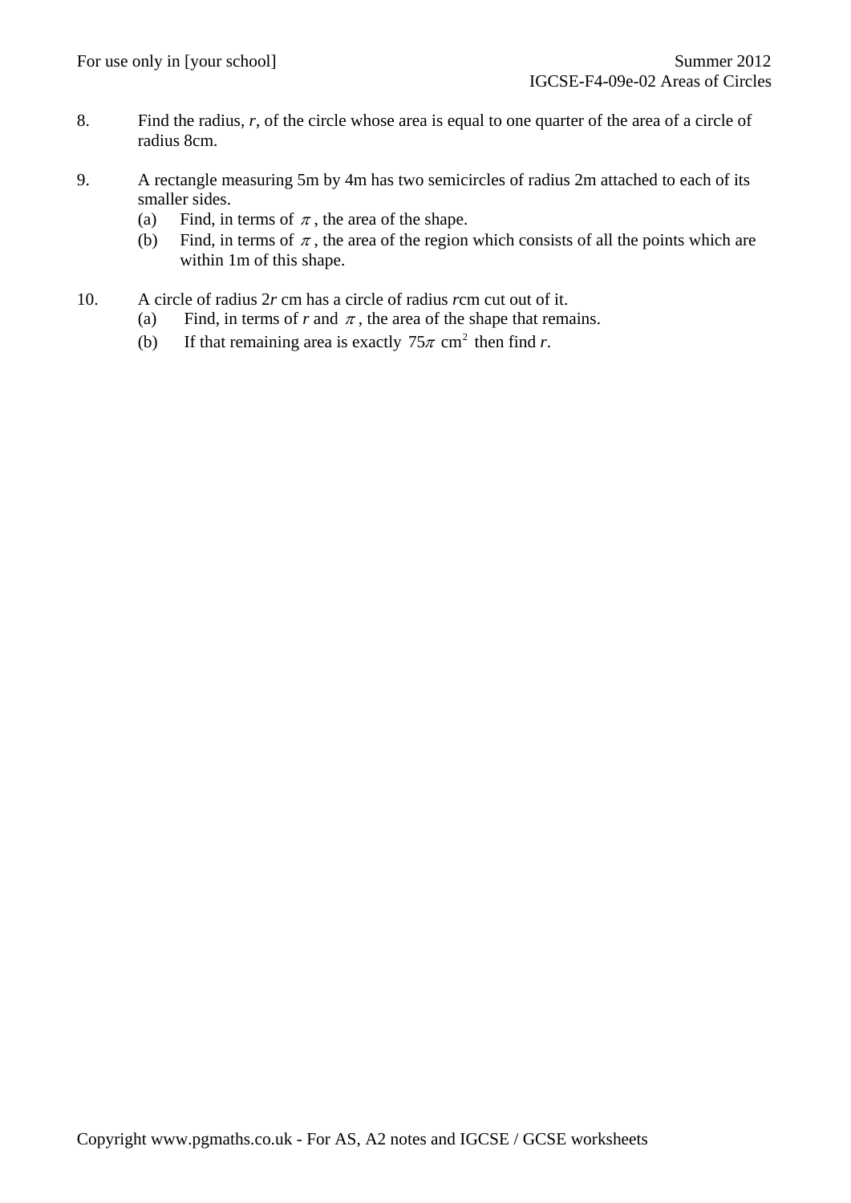- 8. Find the radius, *r*, of the circle whose area is equal to one quarter of the area of a circle of radius 8cm.
- 9. A rectangle measuring 5m by 4m has two semicircles of radius 2m attached to each of its smaller sides.
	- (a) Find, in terms of  $\pi$ , the area of the shape.
	- (b) Find, in terms of  $\pi$ , the area of the region which consists of all the points which are within 1m of this shape.
- 10. A circle of radius 2*r* cm has a circle of radius *r*cm cut out of it.
	- (a) Find, in terms of  $r$  and  $\pi$ , the area of the shape that remains.
	- (b) If that remaining area is exactly  $75\pi$  cm<sup>2</sup> then find *r*.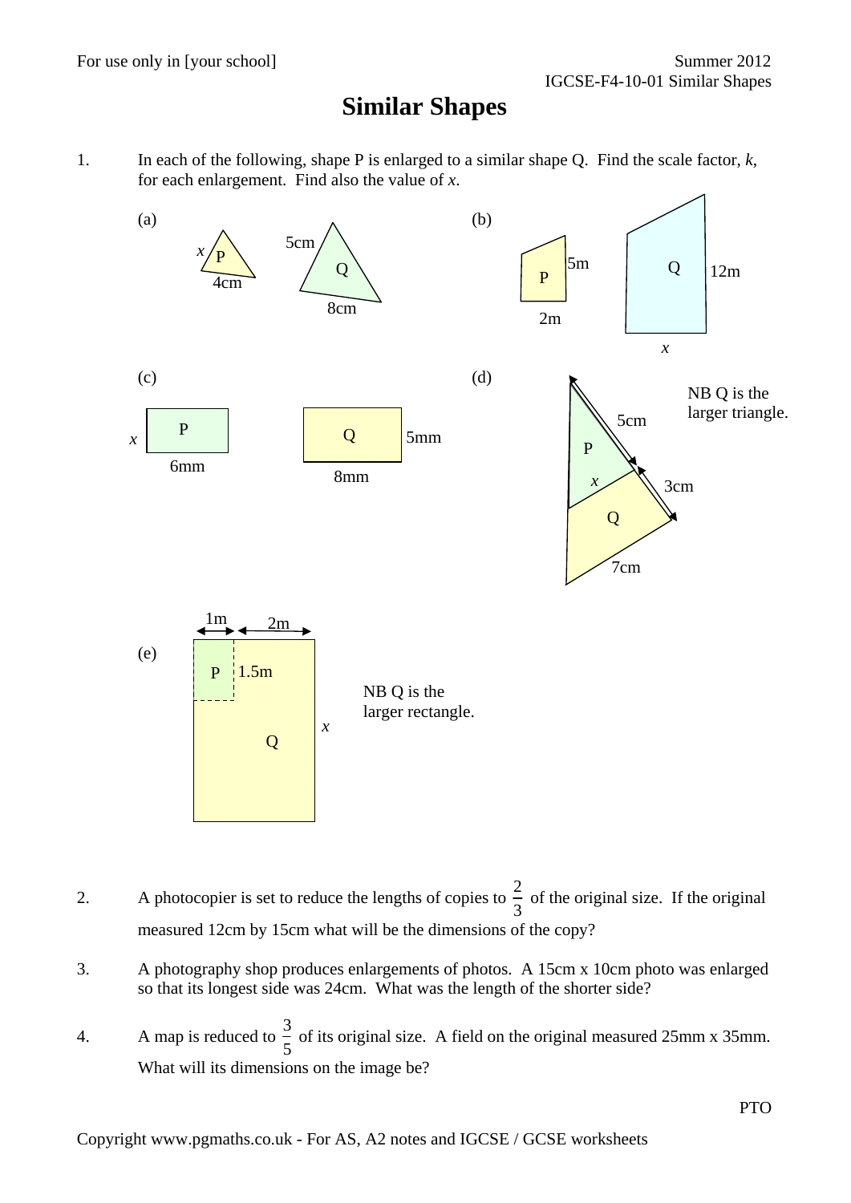#### **Similar Shapes**

1. In each of the following, shape P is enlarged to a similar shape Q. Find the scale factor, *k*, for each enlargement. Find also the value of *x*.



- 2. A photocopier is set to reduce the lengths of copies to  $\frac{2}{3}$ 3 of the original size. If the original measured 12cm by 15cm what will be the dimensions of the copy?
- 3. A photography shop produces enlargements of photos. A 15cm x 10cm photo was enlarged so that its longest side was 24cm. What was the length of the shorter side?
- 4. A map is reduced to  $\frac{3}{5}$ 5 of its original size. A field on the original measured 25mm x 35mm. What will its dimensions on the image be?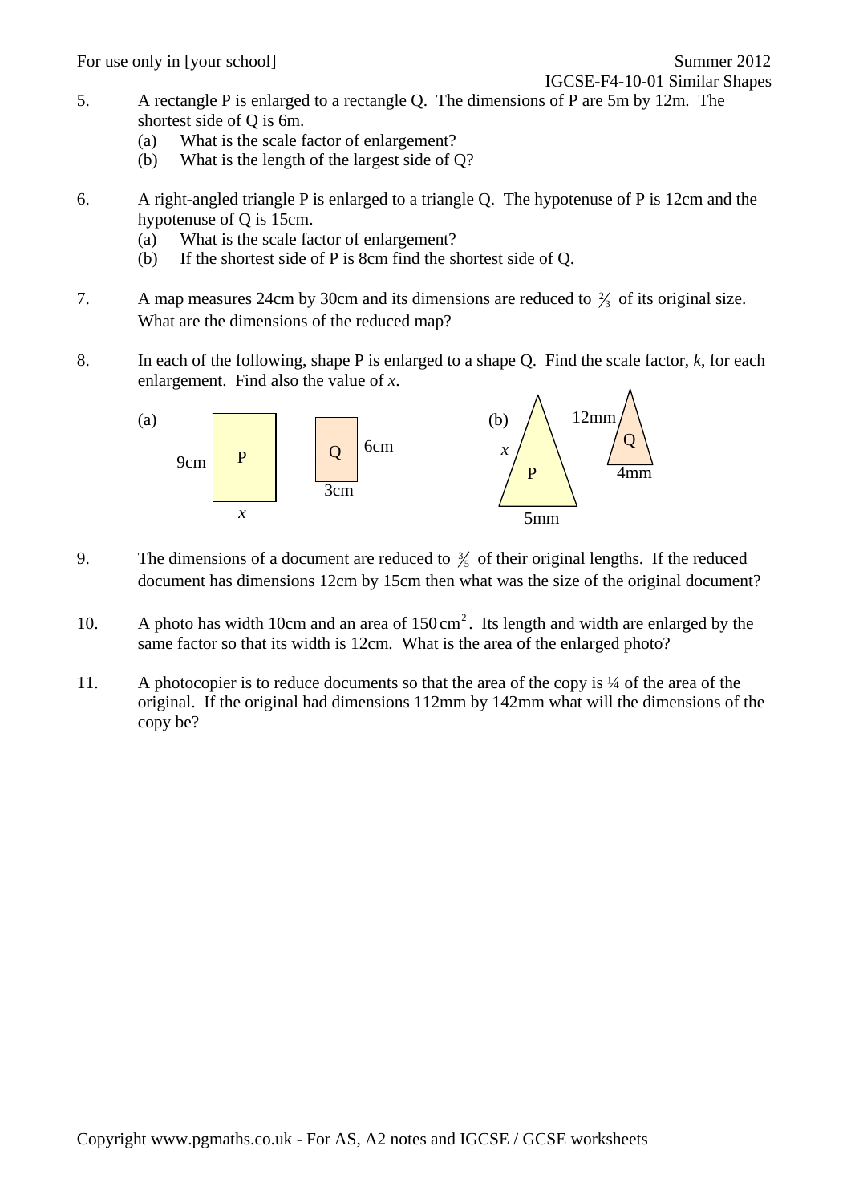For use only in [your school] Summer 2012

IGCSE-F4-10-01 Similar Shapes

- 5. A rectangle P is enlarged to a rectangle Q. The dimensions of P are 5m by 12m. The shortest side of Q is 6m.
	- (a) What is the scale factor of enlargement?
	- (b) What is the length of the largest side of Q?
- 6. A right-angled triangle P is enlarged to a triangle Q. The hypotenuse of P is 12cm and the hypotenuse of Q is 15cm.
	- (a) What is the scale factor of enlargement?
	- (b) If the shortest side of P is 8cm find the shortest side of Q.
- 7. A map measures 24cm by 30cm and its dimensions are reduced to  $\frac{2}{3}$  of its original size. What are the dimensions of the reduced map?
- 8. In each of the following, shape P is enlarged to a shape Q. Find the scale factor, *k*, for each enlargement. Find also the value of *x*.



- 9. The dimensions of a document are reduced to  $\frac{3}{5}$  of their original lengths. If the reduced document has dimensions 12cm by 15cm then what was the size of the original document?
- 10. A photo has width 10cm and an area of  $150 \text{ cm}^2$ . Its length and width are enlarged by the same factor so that its width is 12cm. What is the area of the enlarged photo?
- 11. A photocopier is to reduce documents so that the area of the copy is ¼ of the area of the original. If the original had dimensions 112mm by 142mm what will the dimensions of the copy be?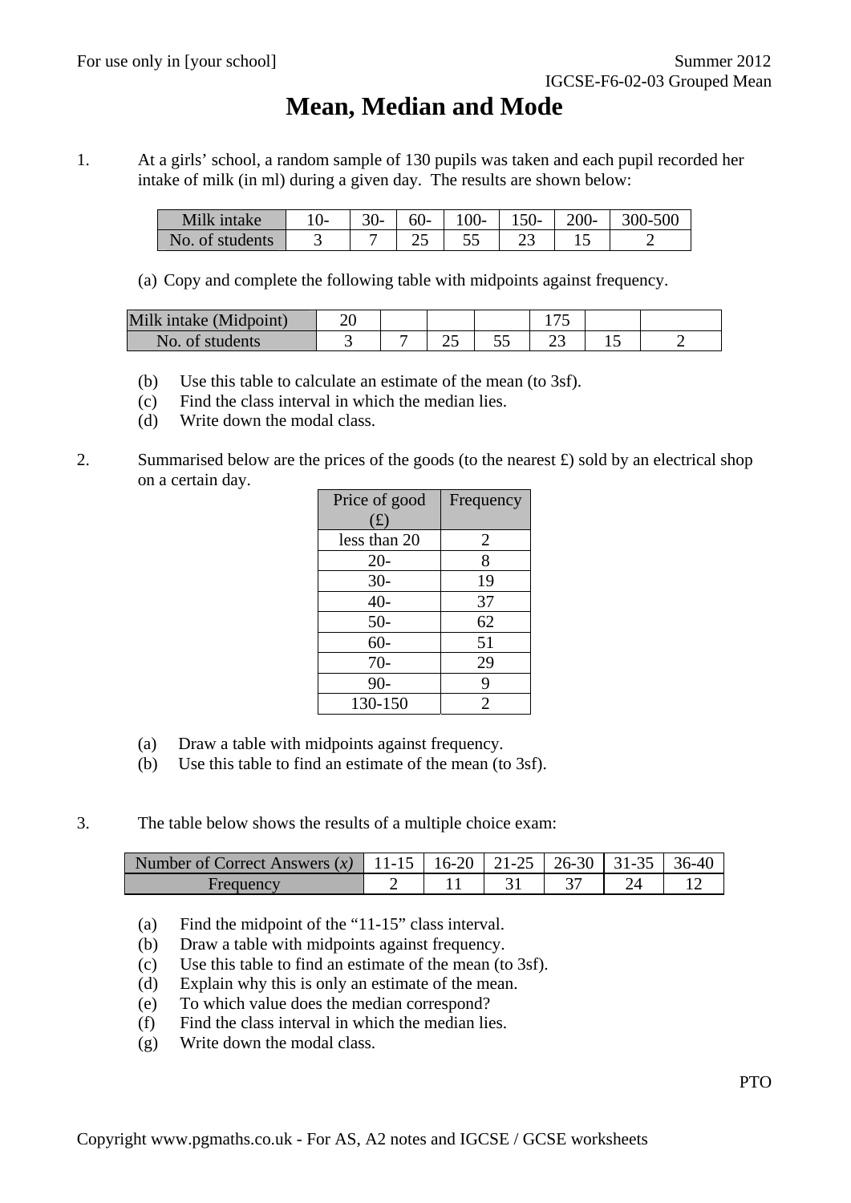#### **Mean, Median and Mode**

1. At a girls' school, a random sample of 130 pupils was taken and each pupil recorded her intake of milk (in ml) during a given day. The results are shown below:

| Milk intake     | $30-$ | $60-$ |   | $100 - 150 - 200 -$ | $ 300-500$ |
|-----------------|-------|-------|---|---------------------|------------|
| No. of students |       | ن     | ັ |                     |            |

(a) Copy and complete the following table with midpoints against frequency.

| Milk intake (Midpoint) |  |    |   |    |  |
|------------------------|--|----|---|----|--|
| No. of students        |  | رے | ັ | ~~ |  |

- (b) Use this table to calculate an estimate of the mean (to 3sf).
- (c) Find the class interval in which the median lies.
- (d) Write down the modal class.
- 2. Summarised below are the prices of the goods (to the nearest  $\pounds$ ) sold by an electrical shop on a certain day.

| Price of good<br>(f) | Frequency |
|----------------------|-----------|
| less than 20         | 2         |
| $20 -$               | 8         |
| $30 -$               | 19        |
| 40-                  | 37        |
| $50-$                | 62        |
| $60 -$               | 51        |
| $70-$                | 29        |
| $90 -$               | 9         |
| 130-150              | 2         |

- (a) Draw a table with midpoints against frequency.
- (b) Use this table to find an estimate of the mean (to 3sf).
- 3. The table below shows the results of a multiple choice exam:

| Number of Correct Answers (x)   11-15   16-20   21-25   26-30   31-35   36-40 |  |  |  |
|-------------------------------------------------------------------------------|--|--|--|
| Frequency                                                                     |  |  |  |

- (a) Find the midpoint of the "11-15" class interval.
- (b) Draw a table with midpoints against frequency.
- (c) Use this table to find an estimate of the mean (to 3sf).
- (d) Explain why this is only an estimate of the mean.
- (e) To which value does the median correspond?
- (f) Find the class interval in which the median lies.
- (g) Write down the modal class.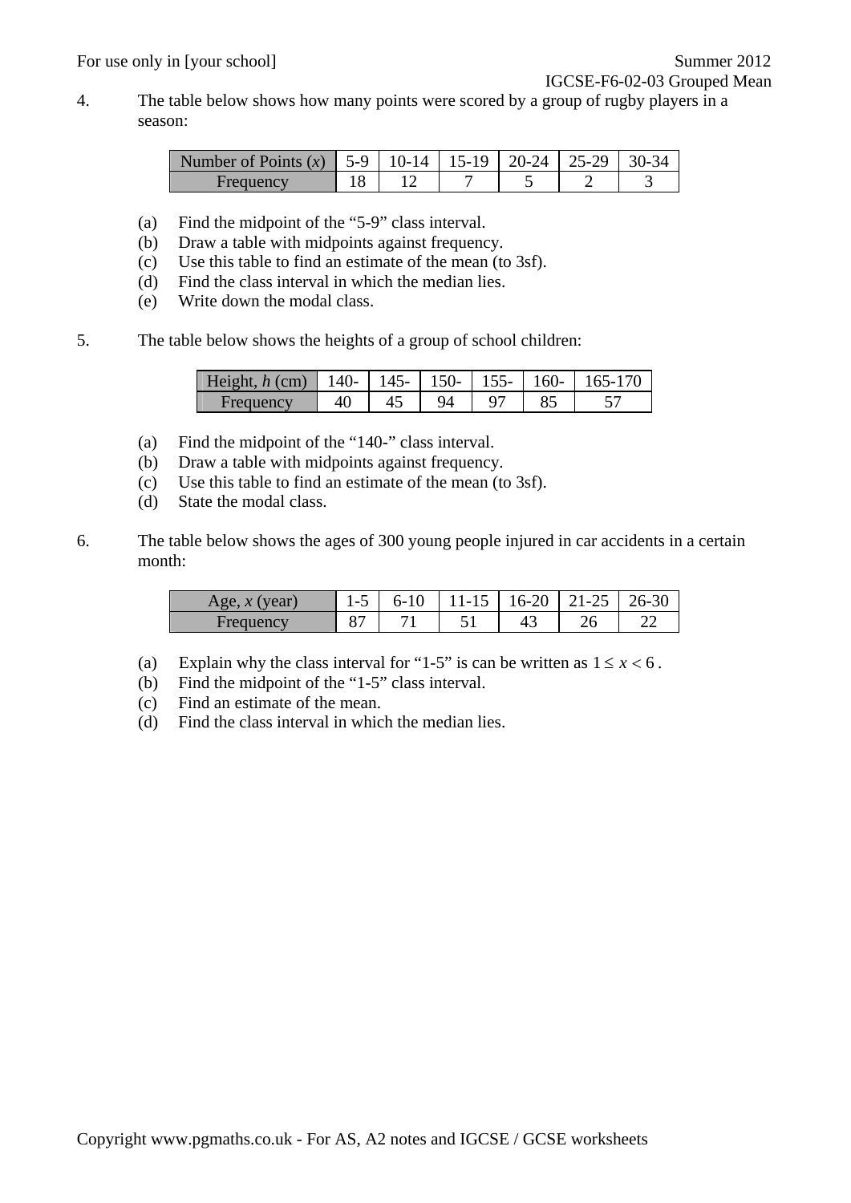4. The table below shows how many points were scored by a group of rugby players in a season:

| Number of Points (x)   5-9   10-14   15-19   20-24   25-29   30-34 |  |  |  |
|--------------------------------------------------------------------|--|--|--|
| Frequency                                                          |  |  |  |

- (a) Find the midpoint of the "5-9" class interval.
- (b) Draw a table with midpoints against frequency.
- (c) Use this table to find an estimate of the mean (to 3sf).
- (d) Find the class interval in which the median lies.
- (e) Write down the modal class.
- 5. The table below shows the heights of a group of school children:

| Height, $h$ (cm) | $140-$ | $145-$ | $150-$ | $155 - 160$ | $165-170$ |
|------------------|--------|--------|--------|-------------|-----------|
| Frequency        |        |        |        |             |           |

- (a) Find the midpoint of the "140-" class interval.
- (b) Draw a table with midpoints against frequency.
- (c) Use this table to find an estimate of the mean (to 3sf).
- (d) State the modal class.
- 6. The table below shows the ages of 300 young people injured in car accidents in a certain month:

| year.<br>Age<br>20 <sup>o</sup> | L-1 | $6 - 10$     | 11-12 | 16-20 | 21-25 | 26-30 |
|---------------------------------|-----|--------------|-------|-------|-------|-------|
| Frequen                         |     | $\mathbf{r}$ | ັ     | 43    |       | $-$   |

- (a) Explain why the class interval for "1-5" is can be written as  $1 \le x < 6$ .
- (b) Find the midpoint of the "1-5" class interval.
- (c) Find an estimate of the mean.
- (d) Find the class interval in which the median lies.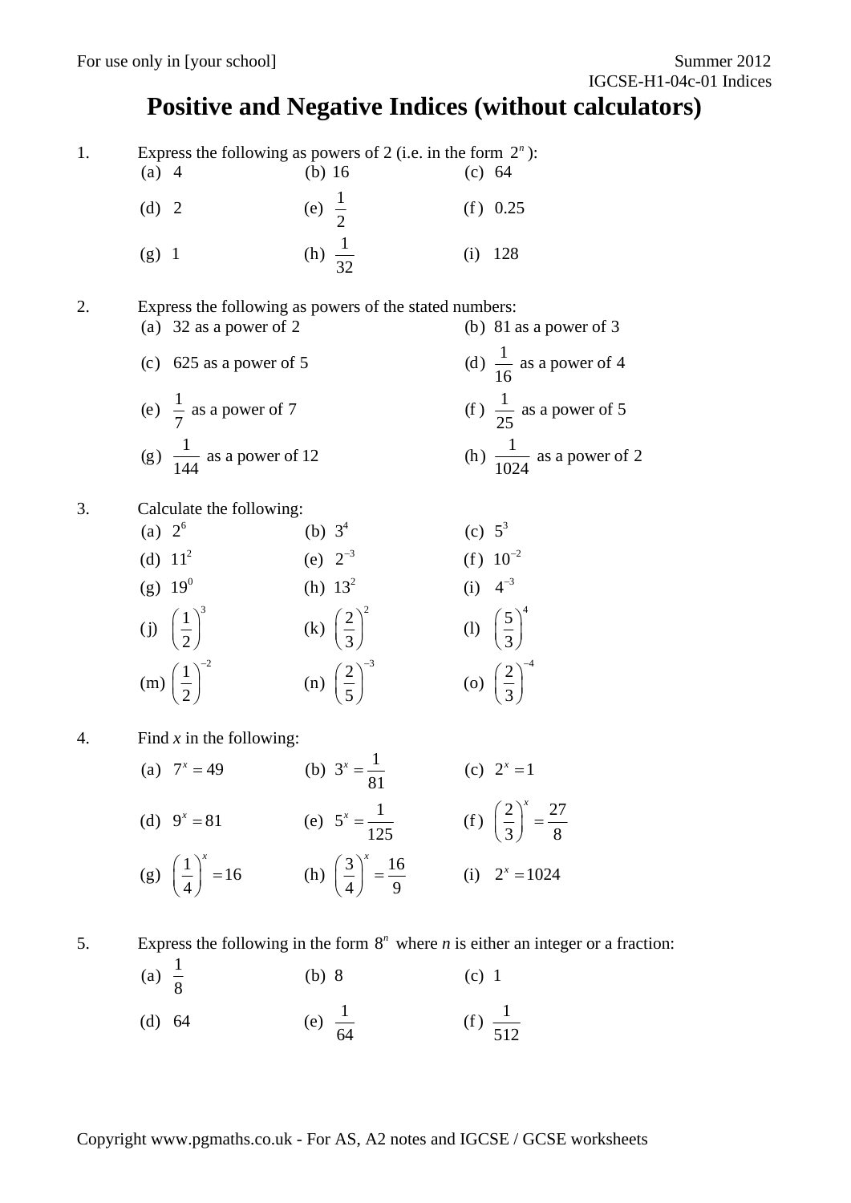#### **Positive and Negative Indices (without calculators)**

1. Express the following as powers of 2 (i.e. in the form 2*<sup>n</sup>* ):

| $(a)$ 4 | (b) $16$           | (c) 64 |            |
|---------|--------------------|--------|------------|
| (d) 2   | (e) $\frac{1}{2}$  |        | $(f)$ 0.25 |
| $(g)$ 1 | (h) $\frac{1}{32}$ |        | $(i)$ 128  |

- 2. Express the following as powers of the stated numbers:
	- (a)  $32$  as a power of 2 (b)  $81$  as a power of 3 (c) 625 as a power of 5 (d)  $\frac{1}{16}$  as a power of 4 (e)  $\frac{1}{7}$  as a power of 7 (f)  $\frac{1}{25}$  as a power of 5 (g)  $\frac{1}{144}$  as a power of 12 (h)  $\frac{1}{1024}$  as a power of 2
- 3. Calculate the following:
	- (a)  $2^6$  (b)  $3^4$  (c)  $5^3$ (d)  $11^2$  (e)  $2^{-3}$  (f)  $10^{-2}$ (g)  $19^0$  (h)  $13^2$  (i)  $4^{-3}$ (j)  $\left(\frac{1}{2}\right)^3$  (k)  $\left(\frac{2}{3}\right)^2$  (l)  $\left(\frac{5}{3}\right)^4$ (m)  $\left(\frac{1}{2}\right)^{-2}$  (n)  $\left(\frac{2}{5}\right)^{-3}$  (o)  $\left(\frac{2}{3}\right)^{-4}$ (f)  $10^{-2}$ (i)  $4^{-3}$
- 4. Find *x* in the following:
	- (a)  $7^x = 49$  (b)  $3^x = \frac{1}{81}$  (c)  $2^x = 1$ (d)  $9^x = 81$  (e)  $5^x = \frac{1}{125}$  (f)  $\left(\frac{2}{3}\right)^x = \frac{27}{8}$ (g)  $\left(\frac{1}{4}\right)^{x} = 16$  (h)  $\left(\frac{3}{4}\right)^{x} = \frac{16}{9}$  (i)  $2^{x} = 1024$  $x^x = 81$  (e)  $5^x = \frac{1}{125}$  (f)  $\left(\frac{2}{3}\right)^x =$  $\left(\frac{1}{4}\right)^{x} = 16$  (h)  $\left(\frac{3}{4}\right)^{x} = \frac{16}{9}$  (i)  $2^{x} =$
- 
- 5. Express the following in the form  $8^n$  where *n* is either an integer or a fraction:

(a) 
$$
\frac{1}{8}
$$
 (b) 8 (c) 1  
(d) 64 (e)  $\frac{1}{64}$  (f)  $\frac{1}{512}$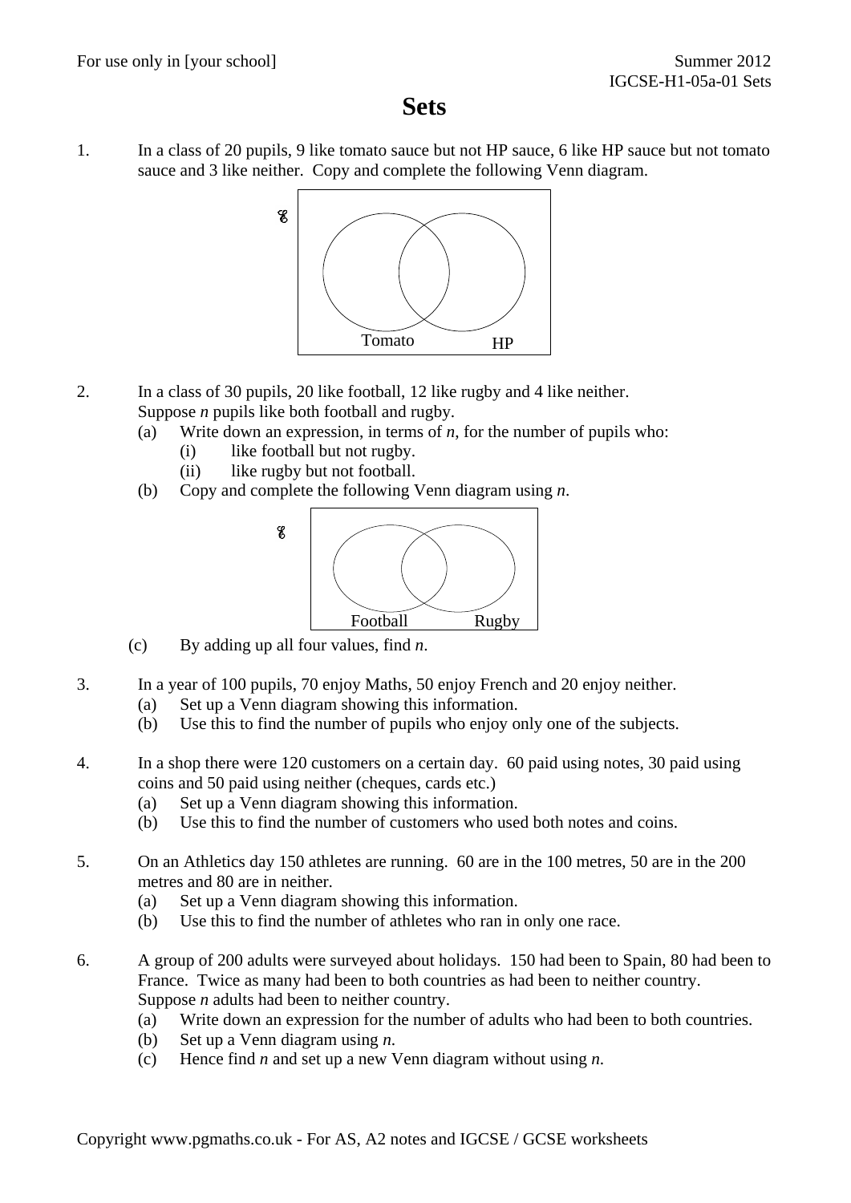#### **Sets**

1. In a class of 20 pupils, 9 like tomato sauce but not HP sauce, 6 like HP sauce but not tomato sauce and 3 like neither. Copy and complete the following Venn diagram.



- 2. In a class of 30 pupils, 20 like football, 12 like rugby and 4 like neither. Suppose *n* pupils like both football and rugby.
	- (a) Write down an expression, in terms of *n*, for the number of pupils who:
		- (i) like football but not rugby.
		- (ii) like rugby but not football.
	- (b) Copy and complete the following Venn diagram using *n*.



- (c) By adding up all four values, find *n*.
- 3. In a year of 100 pupils, 70 enjoy Maths, 50 enjoy French and 20 enjoy neither.
	- (a) Set up a Venn diagram showing this information.
	- (b) Use this to find the number of pupils who enjoy only one of the subjects.
- 4. In a shop there were 120 customers on a certain day. 60 paid using notes, 30 paid using coins and 50 paid using neither (cheques, cards etc.)
	- (a) Set up a Venn diagram showing this information.
	- (b) Use this to find the number of customers who used both notes and coins.
- 5. On an Athletics day 150 athletes are running. 60 are in the 100 metres, 50 are in the 200 metres and 80 are in neither.
	- (a) Set up a Venn diagram showing this information.
	- (b) Use this to find the number of athletes who ran in only one race.
- 6. A group of 200 adults were surveyed about holidays. 150 had been to Spain, 80 had been to France. Twice as many had been to both countries as had been to neither country. Suppose *n* adults had been to neither country.
	- (a) Write down an expression for the number of adults who had been to both countries.
	- (b) Set up a Venn diagram using *n*.
	- (c) Hence find *n* and set up a new Venn diagram without using *n*.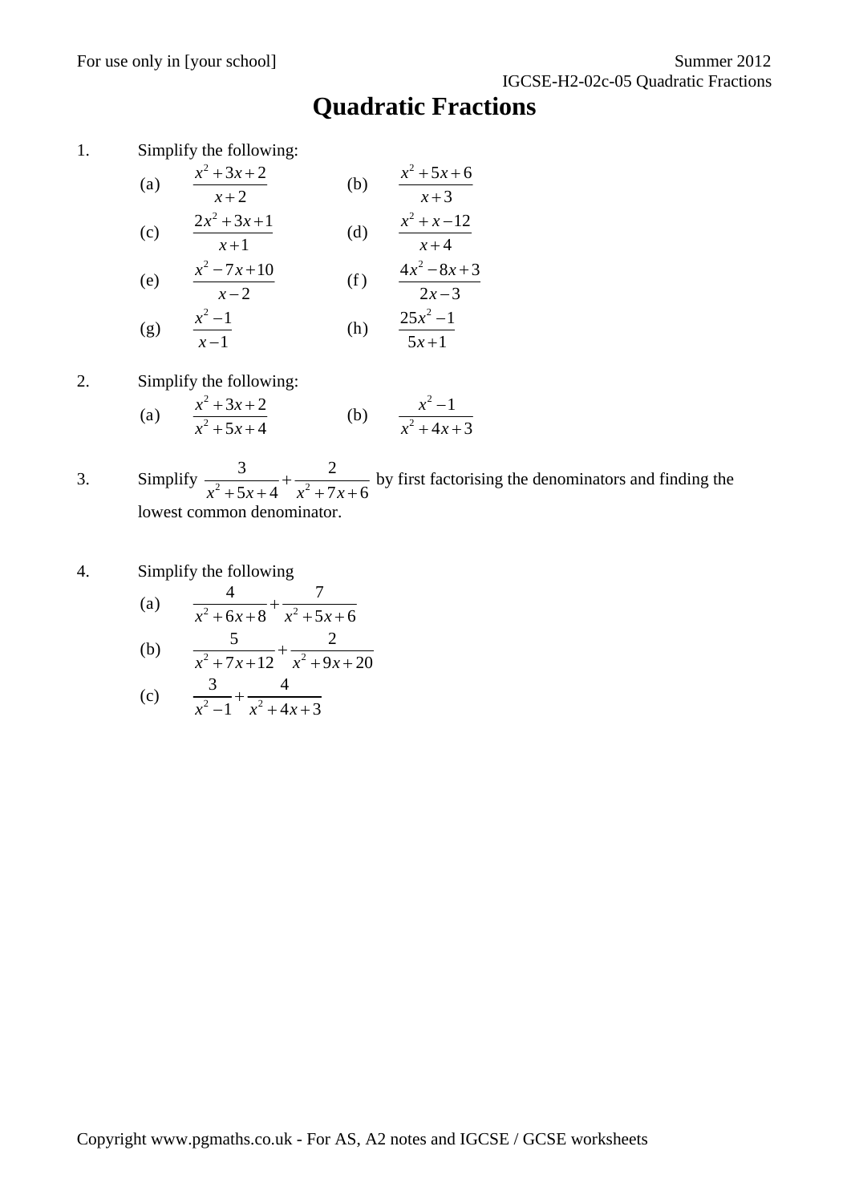### **Quadratic Fractions**

1. Simplify the following:

(a) 
$$
\frac{x^2 + 3x + 2}{x + 2}
$$
 (b)  $\frac{x^2 + 5x + 6}{x + 3}$   
\n(c)  $\frac{2x^2 + 3x + 1}{x + 1}$  (d)  $\frac{x^2 + x - 12}{x + 4}$   
\n(e)  $\frac{x^2 - 7x + 10}{x - 2}$  (f)  $\frac{4x^2 - 8x + 3}{2x - 3}$ 

(g) 
$$
\frac{x^2 - 1}{x - 1}
$$
 (h)  $\frac{25x^2 - 1}{5x + 1}$ 

2. Simplify the following:

(a) 
$$
\frac{x^2 + 3x + 2}{x^2 + 5x + 4}
$$
 (b)  $\frac{x^2 - 1}{x^2 + 4x + 3}$ 

- 3. Simplify  $\frac{3}{x^2+5x+4} + \frac{2}{x^2+7}$  $x^2 + 5x + 4$   $x^2 + 7x + 6$  $^{+}$  $+5x+4$   $x^2+7x+$  by first factorising the denominators and finding the lowest common denominator.
- 4. Simplify the following

(a) 
$$
\frac{4}{x^2 + 6x + 8} + \frac{7}{x^2 + 5x + 6}
$$

(b) 
$$
\frac{5}{x^2 + 7x + 12} + \frac{2}{x^2 + 9x + 20}
$$

(c) 
$$
\frac{3}{x^2-1} + \frac{4}{x^2+4x+3}
$$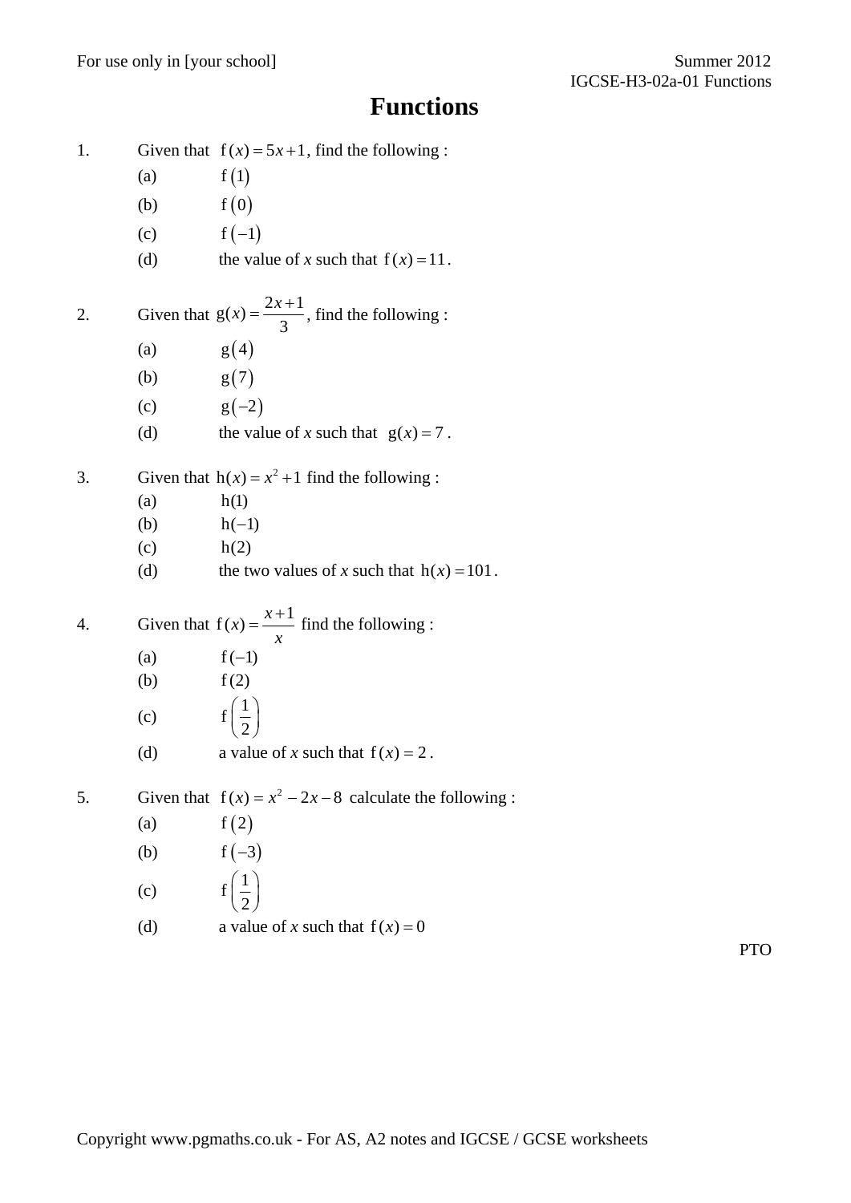# **Functions**

| 1. |     | Given that $f(x) = 5x + 1$ , find the following:          |
|----|-----|-----------------------------------------------------------|
|    | (a) | f(1)                                                      |
|    | (b) | f(0)                                                      |
|    | (c) | $f(-1)$                                                   |
|    | (d) | the value of x such that $f(x) = 11$ .                    |
| 2. |     | Given that $g(x) = \frac{2x+1}{3}$ , find the following : |
|    | (a) | g(4)                                                      |
|    | (b) | g(7)                                                      |
|    | (c) | $g(-2)$                                                   |
|    | (d) | the value of x such that $g(x) = 7$ .                     |
| 3. |     | Given that $h(x) = x^2 + 1$ find the following:           |
|    | (a) | h(1)                                                      |
|    | (b) | $h(-1)$                                                   |
|    | (c) | h(2)                                                      |
|    | (d) | the two values of x such that $h(x) = 101$ .              |
| 4. |     | Given that $f(x) = \frac{x+1}{x}$ find the following :    |
|    | (a) | $f(-1)$                                                   |
|    | (b) | f(2)                                                      |
|    | (c) | $f\left(\frac{1}{2}\right)$                               |
|    | (d) | a value of x such that $f(x) = 2$ .                       |
| 5. |     | Given that $f(x) = x^2 - 2x - 8$ calculate the following: |
|    | (a) | f(2)                                                      |
|    | (b) | $f(-3)$                                                   |
|    | (c) | $f\left(\frac{1}{2}\right)$                               |
|    | (d) | a value of x such that $f(x) = 0$                         |

PTO

Copyright www.pgmaths.co.uk - For AS, A2 notes and IGCSE / GCSE worksheets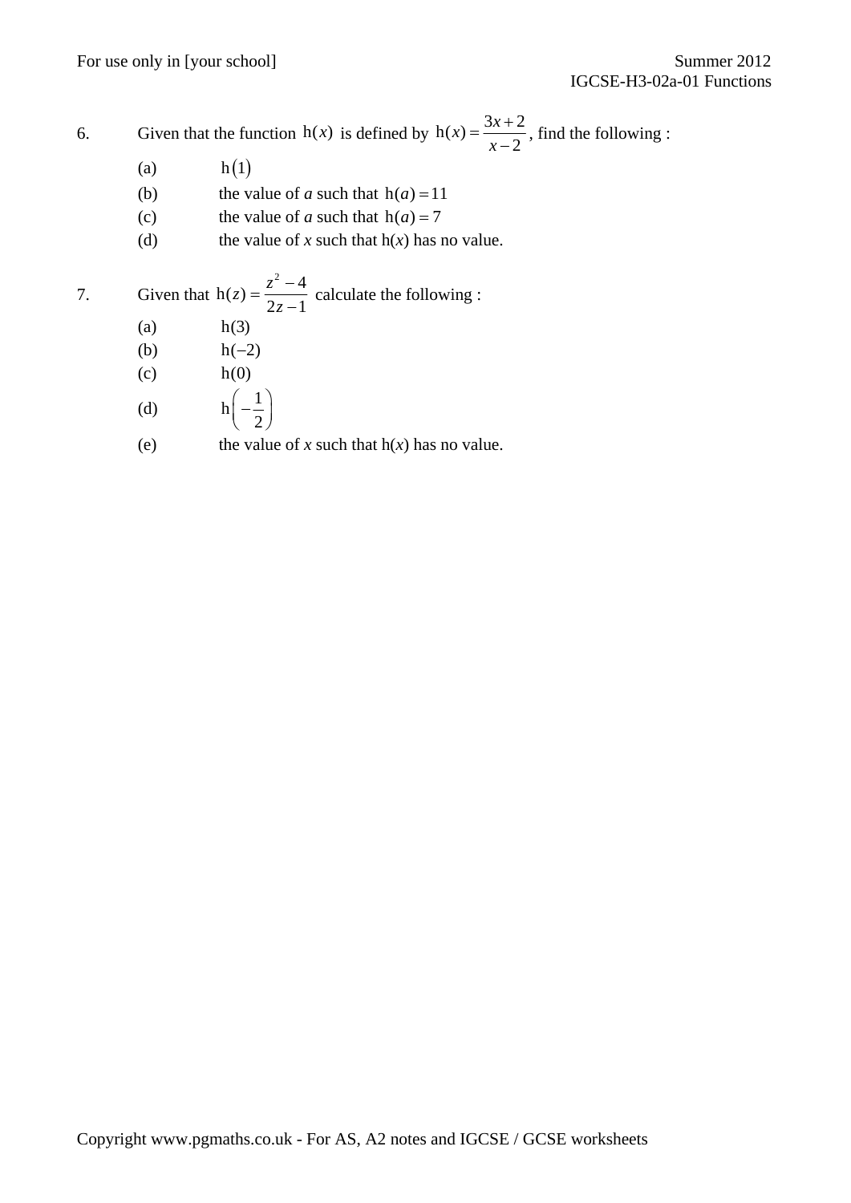6. Given that the function  $h(x)$  is defined by  $h(x) = \frac{3x+2}{x-2}$  $=\frac{3x+2}{x-2}$ , find the following :

- (a)  $h(1)$
- (b) the value of *a* such that  $h(a) = 11$
- (c) the value of *a* such that  $h(a) = 7$
- (d) the value of *x* such that  $h(x)$  has no value.

7. Given that 
$$
h(z) = \frac{z^2 - 4}{2z - 1}
$$
 calculate the following:

- (a)  $h(3)$
- (b)  $h(-2)$
- $h(0)$  h(0)
- (d)  $h \left( -\frac{1}{2} \right)$  $\left(-\frac{1}{2}\right)$
- (e) the value of *x* such that  $h(x)$  has no value.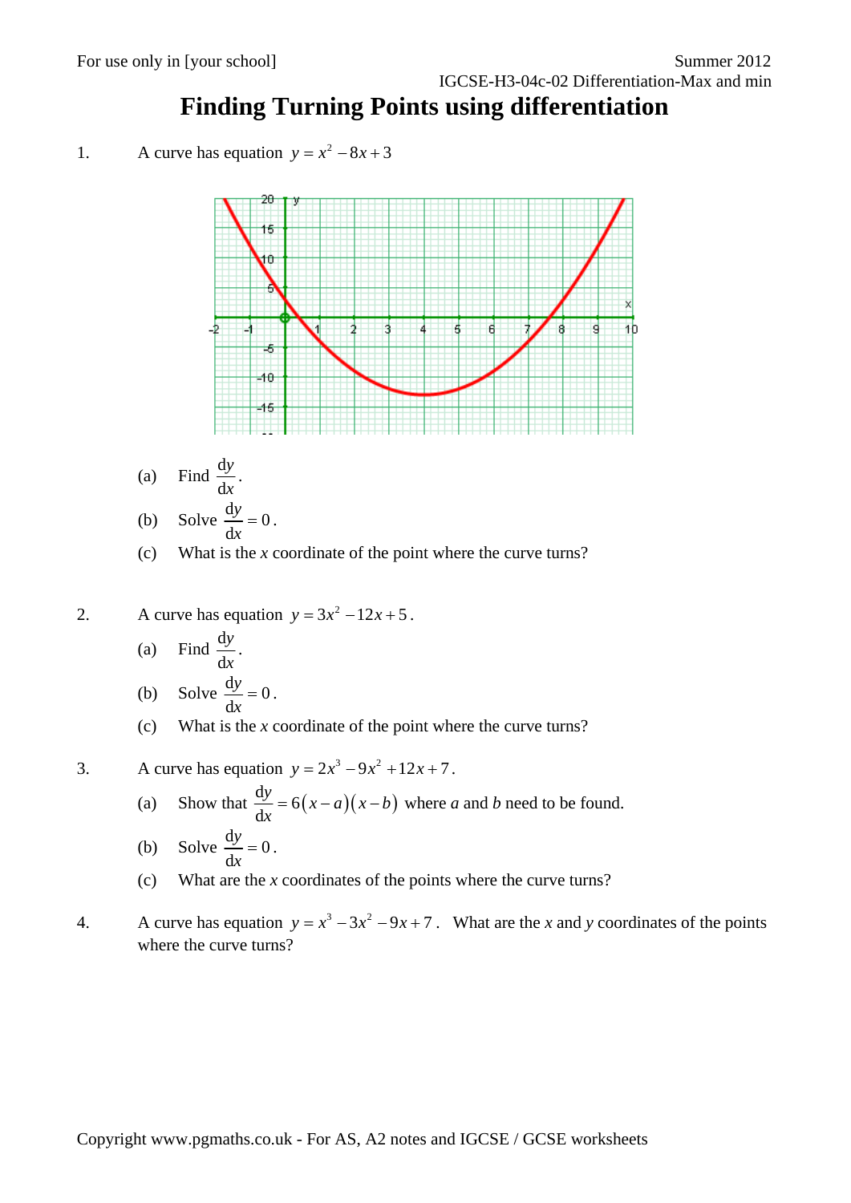# **Finding Turning Points using differentiation**

1. A curve has equation 
$$
y = x^2 - 8x + 3
$$



(a) Find  $\frac{d}{dx}$ d *y x* .

(b) Solve 
$$
\frac{dy}{dx} = 0
$$
.

- (c) What is the *x* coordinate of the point where the curve turns?
- 2. A curve has equation  $y = 3x^2 12x + 5$ .
	- (a) Find  $\frac{d}{dx}$ d *y x* .
	- (b) Solve  $\frac{dy}{dx} = 0$ d  $\frac{y}{x} = 0$ .
	- (c) What is the *x* coordinate of the point where the curve turns?
- 3. A curve has equation  $y = 2x^3 9x^2 + 12x + 7$ .
	- (a) Show that  $\frac{dy}{dx} = 6(x-a)(x-b)$ d  $\frac{y}{x} = 6(x-a)(x-b)$  where *a* and *b* need to be found.

(b) Solve 
$$
\frac{dy}{dx} = 0
$$
.

- (c) What are the *x* coordinates of the points where the curve turns?
- 4. A curve has equation  $y = x^3 3x^2 9x + 7$ . What are the *x* and *y* coordinates of the points where the curve turns?